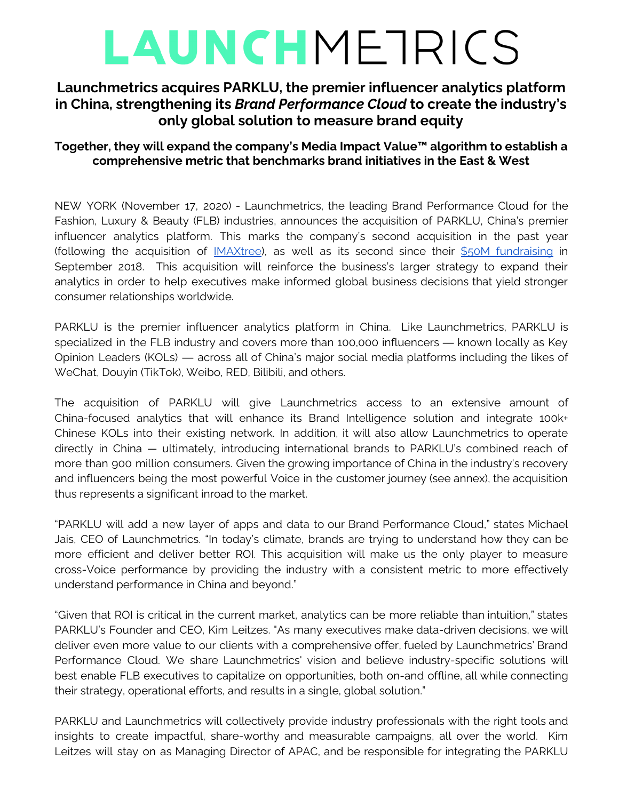# LAUNCHMETRICS

## **Launchmetrics acquires PARKLU, the premier influencer analytics platform in China, strengthening its** *Brand Performance Cloud* **to create the industry's only global solution to measure brand equity**

### **Together, they will expand the company's Media Impact Value™ algorithm to establish a comprehensive metric that benchmarks brand initiatives in the East & West**

NEW YORK (November 17, 2020) - Launchmetrics, the leading Brand Performance Cloud for the Fashion, Luxury & Beauty (FLB) industries, announces the acquisition of PARKLU, China's premier influencer analytics platform. This marks the company's second acquisition in the past year (following the acquisition of [IMAXtree\)](https://www.launchmetrics.com/newsroom/launchmetrics-announces-imaxtree-acquisition), as well as its second since their \$50M [fundraising](https://www.launchmetrics.com/newsroom/launchmetrics-raises-50m-to-continue-its-rapid-growth-as-the-leading-marketing-platform-analytics-solution-for-the-fashion-luxury-and-cosmetics-industries) in September 2018. This acquisition will reinforce the business's larger strategy to expand their analytics in order to help executives make informed global business decisions that yield stronger consumer relationships worldwide.

PARKLU is the premier influencer analytics platform in China. Like Launchmetrics, PARKLU is specialized in the FLB industry and covers more than 100,000 influencers — known locally as Key Opinion Leaders (KOLs) — across all of China's major social media platforms including the likes of WeChat, Douyin (TikTok), Weibo, RED, Bilibili, and others.

The acquisition of PARKLU will give Launchmetrics access to an extensive amount of China-focused analytics that will enhance its Brand Intelligence solution and integrate 100k+ Chinese KOLs into their existing network. In addition, it will also allow Launchmetrics to operate directly in China — ultimately, introducing international brands to PARKLU's combined reach of more than 900 million consumers. Given the growing importance of China in the industry's recovery and influencers being the most powerful Voice in the customer journey (see annex), the acquisition thus represents a significant inroad to the market.

"PARKLU will add a new layer of apps and data to our Brand Performance Cloud," states Michael Jais, CEO of Launchmetrics. "In today's climate, brands are trying to understand how they can be more efficient and deliver better ROI. This acquisition will make us the only player to measure cross-Voice performance by providing the industry with a consistent metric to more effectively understand performance in China and beyond."

"Given that ROI is critical in the current market, analytics can be more reliable than intuition," states PARKLU's Founder and CEO, Kim Leitzes. "As many executives make data-driven decisions, we will deliver even more value to our clients with a comprehensive offer, fueled by Launchmetrics' Brand Performance Cloud. We share Launchmetrics' vision and believe industry-specific solutions will best enable FLB executives to capitalize on opportunities, both on-and offline, all while connecting their strategy, operational efforts, and results in a single, global solution."

PARKLU and Launchmetrics will collectively provide industry professionals with the right tools and insights to create impactful, share-worthy and measurable campaigns, all over the world. Kim Leitzes will stay on as Managing Director of APAC, and be responsible for integrating the PARKLU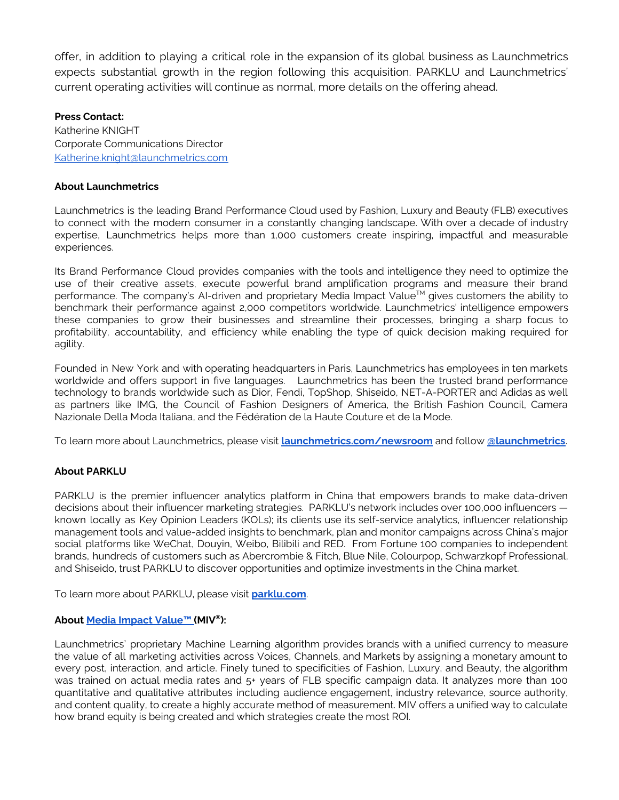offer, in addition to playing a critical role in the expansion of its global business as Launchmetrics expects substantial growth in the region following this acquisition. PARKLU and Launchmetrics' current operating activities will continue as normal, more details on the offering ahead.

#### **Press Contact:**

Katherine KNIGHT Corporate Communications Director [Katherine.knight@launchmetrics.com](mailto:Katherine.knight@launchmetrics.com)

#### **About Launchmetrics**

Launchmetrics is the leading Brand Performance Cloud used by Fashion, Luxury and Beauty (FLB) executives to connect with the modern consumer in a constantly changing landscape. With over a decade of industry expertise, Launchmetrics helps more than 1,000 customers create inspiring, impactful and measurable experiences.

Its Brand Performance Cloud provides companies with the tools and intelligence they need to optimize the use of their creative assets, execute powerful brand amplification programs and measure their brand performance. The company's AI-driven and proprietary Media Impact Value™ gives customers the ability to benchmark their performance against 2,000 competitors worldwide. Launchmetrics' intelligence empowers these companies to grow their businesses and streamline their processes, bringing a sharp focus to profitability, accountability, and efficiency while enabling the type of quick decision making required for agility.

Founded in New York and with operating headquarters in Paris, Launchmetrics has employees in ten markets worldwide and offers support in five languages. Launchmetrics has been the trusted brand performance technology to brands worldwide such as Dior, Fendi, TopShop, Shiseido, NET-A-PORTER and Adidas as well as partners like IMG, the Council of Fashion Designers of America, the British Fashion Council, Camera Nazionale Della Moda Italiana, and the Fédération de la Haute Couture et de la Mode.

To learn more about Launchmetrics, please visit **[launchmetrics.com/newsroom](http://launchmetrics.com/newsroom)** and follow **[@launchmetrics](https://www.instagram.com/launchmetrics/?hl=en)**.

#### **About PARKLU**

PARKLU is the premier influencer analytics platform in China that empowers brands to make data-driven decisions about their influencer marketing strategies. PARKLU's network includes over 100,000 influencers known locally as Key Opinion Leaders (KOLs); its clients use its self-service analytics, influencer relationship management tools and value-added insights to benchmark, plan and monitor campaigns across China's major social platforms like WeChat, Douyin, Weibo, Bilibili and RED. From Fortune 100 companies to independent brands, hundreds of customers such as Abercrombie & Fitch, Blue Nile, Colourpop, Schwarzkopf Professional, and Shiseido, trust PARKLU to discover opportunities and optimize investments in the China market.

To learn more about PARKLU, please visit **[parklu.com](https://parklu.com/)**.

#### **About Media Impact [Value™](https://www.launchmetrics.com/media-impact-value-usage) (MIV ®):**

Launchmetrics' proprietary Machine Learning algorithm provides brands with a unified currency to measure the value of all marketing activities across Voices, Channels, and Markets by assigning a monetary amount to every post, interaction, and article. Finely tuned to specificities of Fashion, Luxury, and Beauty, the algorithm was trained on actual media rates and 5+ years of FLB specific campaign data. It analyzes more than 100 quantitative and qualitative attributes including audience engagement, industry relevance, source authority, and content quality, to create a highly accurate method of measurement. MIV offers a unified way to calculate how brand equity is being created and which strategies create the most ROI.